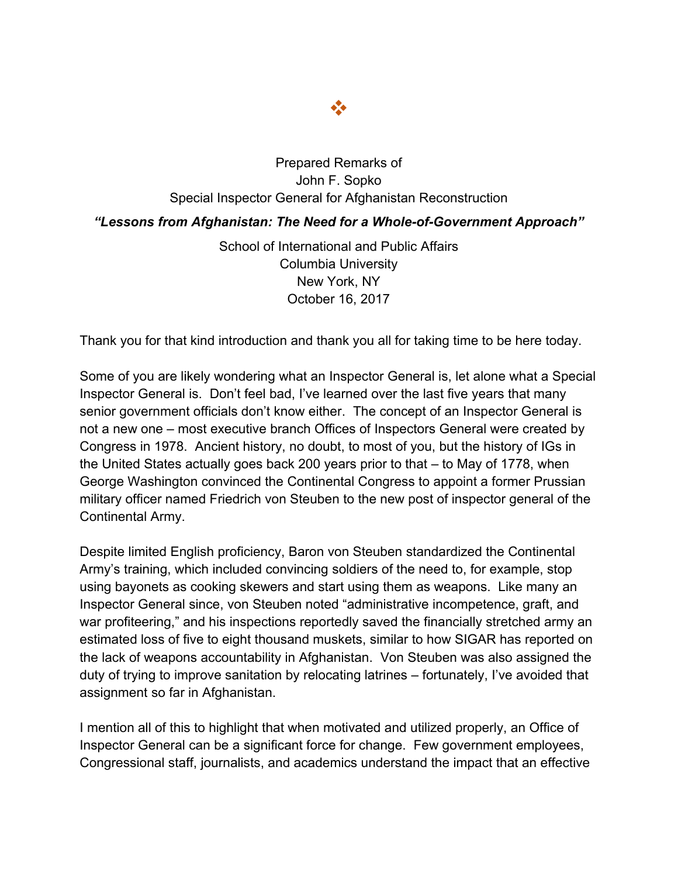

## Prepared Remarks of John F. Sopko Special Inspector General for Afghanistan Reconstruction

## *"Lessons from Afghanistan: The Need for a Whole-of-Government Approach"*

School of International and Public Affairs Columbia University New York, NY October 16, 2017

Thank you for that kind introduction and thank you all for taking time to be here today.

Some of you are likely wondering what an Inspector General is, let alone what a Special Inspector General is. Don't feel bad, I've learned over the last five years that many senior government officials don't know either. The concept of an Inspector General is not a new one – most executive branch Offices of Inspectors General were created by Congress in 1978. Ancient history, no doubt, to most of you, but the history of IGs in the United States actually goes back 200 years prior to that – to May of 1778, when George Washington convinced the Continental Congress to appoint a former Prussian military officer named Friedrich von Steuben to the new post of inspector general of the Continental Army.

Despite limited English proficiency, Baron von Steuben standardized the Continental Army's training, which included convincing soldiers of the need to, for example, stop using bayonets as cooking skewers and start using them as weapons. Like many an Inspector General since, von Steuben noted "administrative incompetence, graft, and war profiteering," and his inspections reportedly saved the financially stretched army an estimated loss of five to eight thousand muskets, similar to how SIGAR has reported on the lack of weapons accountability in Afghanistan. Von Steuben was also assigned the duty of trying to improve sanitation by relocating latrines – fortunately, I've avoided that assignment so far in Afghanistan.

I mention all of this to highlight that when motivated and utilized properly, an Office of Inspector General can be a significant force for change. Few government employees, Congressional staff, journalists, and academics understand the impact that an effective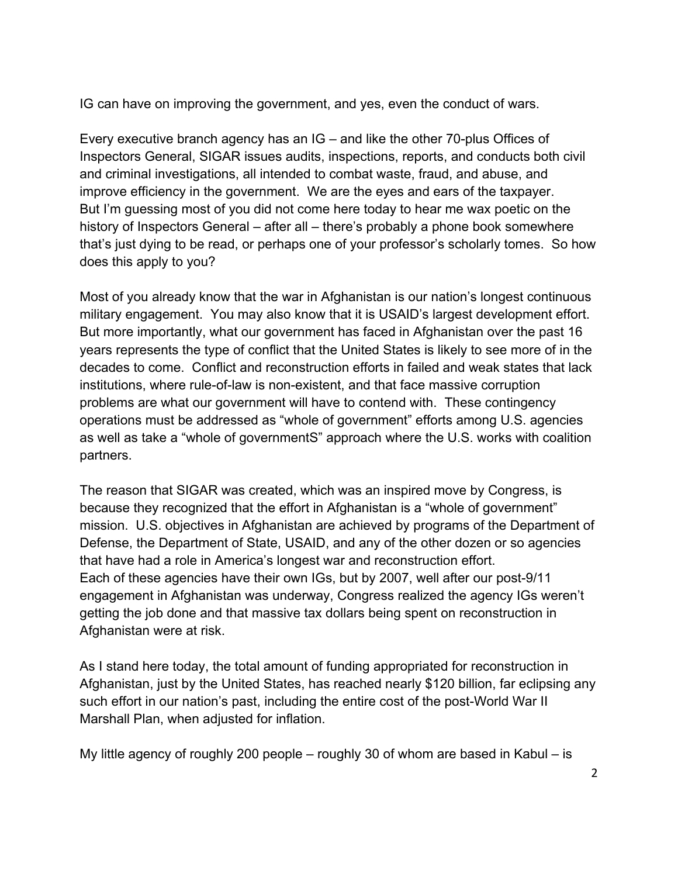IG can have on improving the government, and yes, even the conduct of wars.

Every executive branch agency has an IG – and like the other 70-plus Offices of Inspectors General, SIGAR issues audits, inspections, reports, and conducts both civil and criminal investigations, all intended to combat waste, fraud, and abuse, and improve efficiency in the government. We are the eyes and ears of the taxpayer. But I'm guessing most of you did not come here today to hear me wax poetic on the history of Inspectors General – after all – there's probably a phone book somewhere that's just dying to be read, or perhaps one of your professor's scholarly tomes. So how does this apply to you?

Most of you already know that the war in Afghanistan is our nation's longest continuous military engagement. You may also know that it is USAID's largest development effort. But more importantly, what our government has faced in Afghanistan over the past 16 years represents the type of conflict that the United States is likely to see more of in the decades to come. Conflict and reconstruction efforts in failed and weak states that lack institutions, where rule-of-law is non-existent, and that face massive corruption problems are what our government will have to contend with. These contingency operations must be addressed as "whole of government" efforts among U.S. agencies as well as take a "whole of governmentS" approach where the U.S. works with coalition partners.

The reason that SIGAR was created, which was an inspired move by Congress, is because they recognized that the effort in Afghanistan is a "whole of government" mission. U.S. objectives in Afghanistan are achieved by programs of the Department of Defense, the Department of State, USAID, and any of the other dozen or so agencies that have had a role in America's longest war and reconstruction effort. Each of these agencies have their own IGs, but by 2007, well after our post-9/11 engagement in Afghanistan was underway, Congress realized the agency IGs weren't getting the job done and that massive tax dollars being spent on reconstruction in Afghanistan were at risk.

As I stand here today, the total amount of funding appropriated for reconstruction in Afghanistan, just by the United States, has reached nearly \$120 billion, far eclipsing any such effort in our nation's past, including the entire cost of the post-World War II Marshall Plan, when adjusted for inflation.

My little agency of roughly 200 people – roughly 30 of whom are based in Kabul – is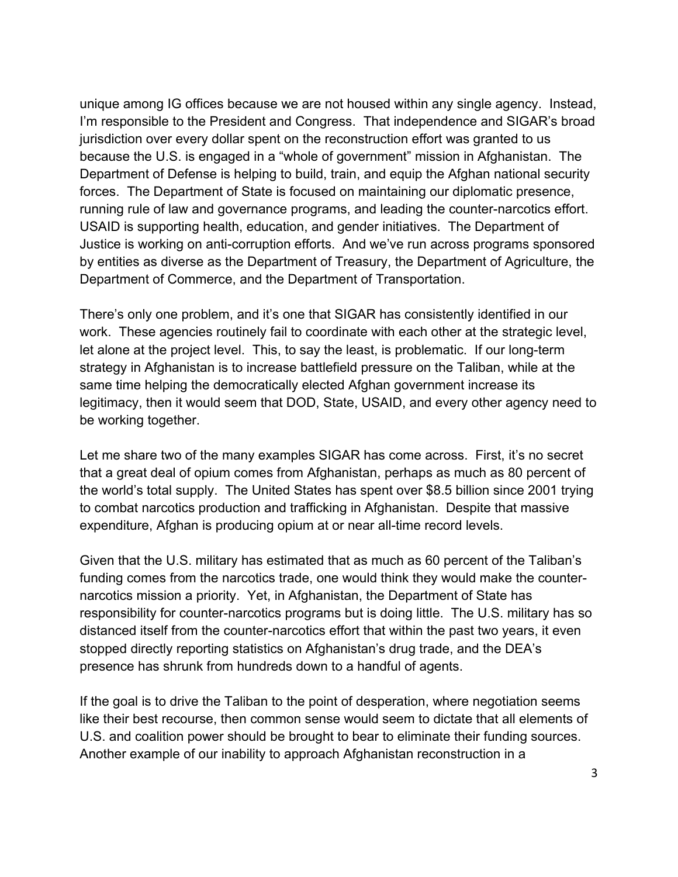unique among IG offices because we are not housed within any single agency. Instead, I'm responsible to the President and Congress. That independence and SIGAR's broad jurisdiction over every dollar spent on the reconstruction effort was granted to us because the U.S. is engaged in a "whole of government" mission in Afghanistan. The Department of Defense is helping to build, train, and equip the Afghan national security forces. The Department of State is focused on maintaining our diplomatic presence, running rule of law and governance programs, and leading the counter-narcotics effort. USAID is supporting health, education, and gender initiatives. The Department of Justice is working on anti-corruption efforts. And we've run across programs sponsored by entities as diverse as the Department of Treasury, the Department of Agriculture, the Department of Commerce, and the Department of Transportation.

There's only one problem, and it's one that SIGAR has consistently identified in our work. These agencies routinely fail to coordinate with each other at the strategic level, let alone at the project level. This, to say the least, is problematic. If our long-term strategy in Afghanistan is to increase battlefield pressure on the Taliban, while at the same time helping the democratically elected Afghan government increase its legitimacy, then it would seem that DOD, State, USAID, and every other agency need to be working together.

Let me share two of the many examples SIGAR has come across. First, it's no secret that a great deal of opium comes from Afghanistan, perhaps as much as 80 percent of the world's total supply. The United States has spent over \$8.5 billion since 2001 trying to combat narcotics production and trafficking in Afghanistan. Despite that massive expenditure, Afghan is producing opium at or near all-time record levels.

Given that the U.S. military has estimated that as much as 60 percent of the Taliban's funding comes from the narcotics trade, one would think they would make the counternarcotics mission a priority. Yet, in Afghanistan, the Department of State has responsibility for counter-narcotics programs but is doing little. The U.S. military has so distanced itself from the counter-narcotics effort that within the past two years, it even stopped directly reporting statistics on Afghanistan's drug trade, and the DEA's presence has shrunk from hundreds down to a handful of agents.

If the goal is to drive the Taliban to the point of desperation, where negotiation seems like their best recourse, then common sense would seem to dictate that all elements of U.S. and coalition power should be brought to bear to eliminate their funding sources. Another example of our inability to approach Afghanistan reconstruction in a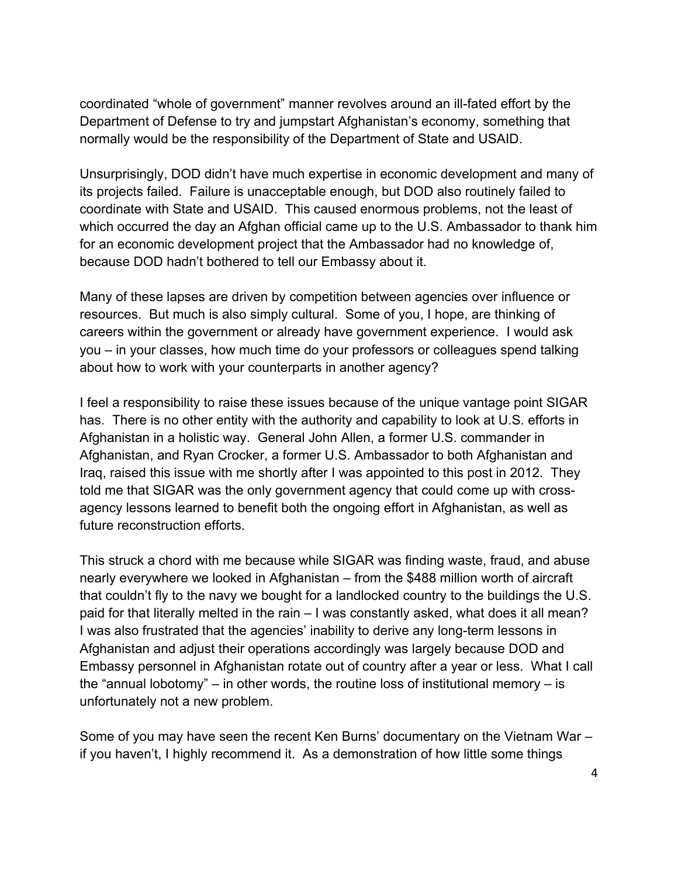coordinated "whole of government" manner revolves around an ill-fated effort by the Department of Defense to try and jumpstart Afghanistan's economy, something that normally would be the responsibility of the Department of State and USAID.

Unsurprisingly, DOD didn't have much expertise in economic development and many of its projects failed. Failure is unacceptable enough, but DOD also routinely failed to coordinate with State and USAID. This caused enormous problems, not the least of which occurred the day an Afghan official came up to the U.S. Ambassador to thank him for an economic development project that the Ambassador had no knowledge of, because DOD hadn't bothered to tell our Embassy about it.

Many of these lapses are driven by competition between agencies over influence or resources. But much is also simply cultural. Some of you, I hope, are thinking of careers within the government or already have government experience. I would ask you – in your classes, how much time do your professors or colleagues spend talking about how to work with your counterparts in another agency?

I feel a responsibility to raise these issues because of the unique vantage point SIGAR has. There is no other entity with the authority and capability to look at U.S. efforts in Afghanistan in a holistic way. General John Allen, a former U.S. commander in Afghanistan, and Ryan Crocker, a former U.S. Ambassador to both Afghanistan and Iraq, raised this issue with me shortly after I was appointed to this post in 2012. They told me that SIGAR was the only government agency that could come up with crossagency lessons learned to benefit both the ongoing effort in Afghanistan, as well as future reconstruction efforts.

This struck a chord with me because while SIGAR was finding waste, fraud, and abuse nearly everywhere we looked in Afghanistan – from the \$488 million worth of aircraft that couldn't fly to the navy we bought for a landlocked country to the buildings the U.S. paid for that literally melted in the rain – I was constantly asked, what does it all mean? I was also frustrated that the agencies' inability to derive any long-term lessons in Afghanistan and adjust their operations accordingly was largely because DOD and Embassy personnel in Afghanistan rotate out of country after a year or less. What I call the "annual lobotomy" – in other words, the routine loss of institutional memory – is unfortunately not a new problem.

Some of you may have seen the recent Ken Burns' documentary on the Vietnam War – if you haven't, I highly recommend it. As a demonstration of how little some things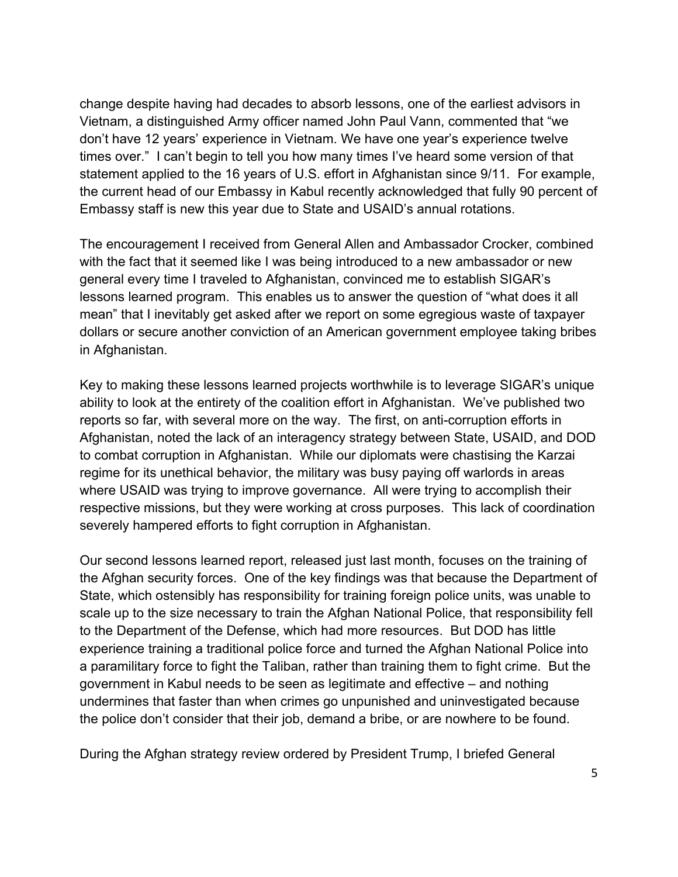change despite having had decades to absorb lessons, one of the earliest advisors in Vietnam, a distinguished Army officer named John Paul Vann, commented that "we don't have 12 years' experience in Vietnam. We have one year's experience twelve times over." I can't begin to tell you how many times I've heard some version of that statement applied to the 16 years of U.S. effort in Afghanistan since 9/11. For example, the current head of our Embassy in Kabul recently acknowledged that fully 90 percent of Embassy staff is new this year due to State and USAID's annual rotations.

The encouragement I received from General Allen and Ambassador Crocker, combined with the fact that it seemed like I was being introduced to a new ambassador or new general every time I traveled to Afghanistan, convinced me to establish SIGAR's lessons learned program. This enables us to answer the question of "what does it all mean" that I inevitably get asked after we report on some egregious waste of taxpayer dollars or secure another conviction of an American government employee taking bribes in Afghanistan.

Key to making these lessons learned projects worthwhile is to leverage SIGAR's unique ability to look at the entirety of the coalition effort in Afghanistan. We've published two reports so far, with several more on the way. The first, on anti-corruption efforts in Afghanistan, noted the lack of an interagency strategy between State, USAID, and DOD to combat corruption in Afghanistan. While our diplomats were chastising the Karzai regime for its unethical behavior, the military was busy paying off warlords in areas where USAID was trying to improve governance. All were trying to accomplish their respective missions, but they were working at cross purposes. This lack of coordination severely hampered efforts to fight corruption in Afghanistan.

Our second lessons learned report, released just last month, focuses on the training of the Afghan security forces. One of the key findings was that because the Department of State, which ostensibly has responsibility for training foreign police units, was unable to scale up to the size necessary to train the Afghan National Police, that responsibility fell to the Department of the Defense, which had more resources. But DOD has little experience training a traditional police force and turned the Afghan National Police into a paramilitary force to fight the Taliban, rather than training them to fight crime. But the government in Kabul needs to be seen as legitimate and effective – and nothing undermines that faster than when crimes go unpunished and uninvestigated because the police don't consider that their job, demand a bribe, or are nowhere to be found.

During the Afghan strategy review ordered by President Trump, I briefed General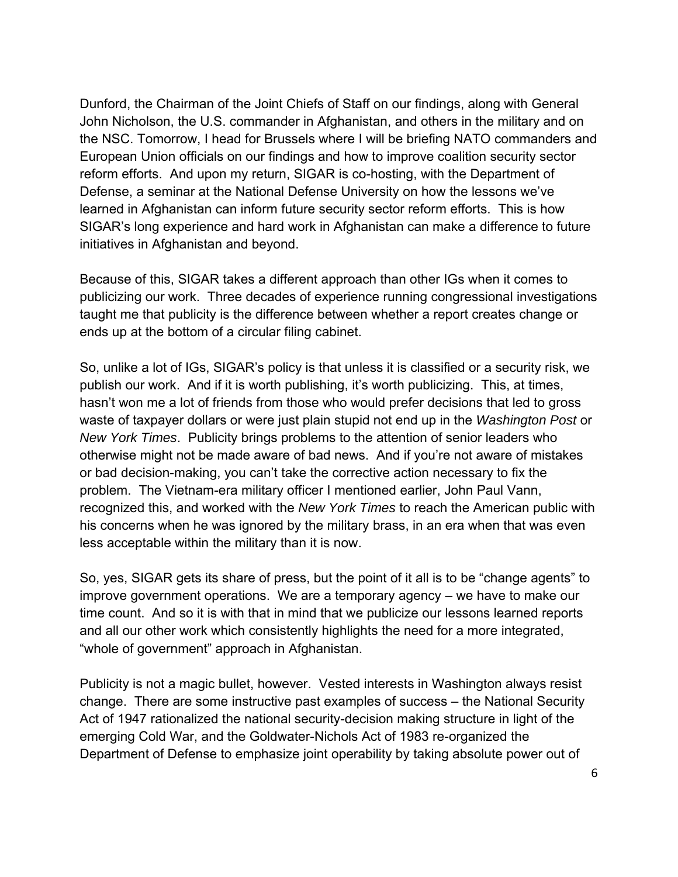Dunford, the Chairman of the Joint Chiefs of Staff on our findings, along with General John Nicholson, the U.S. commander in Afghanistan, and others in the military and on the NSC. Tomorrow, I head for Brussels where I will be briefing NATO commanders and European Union officials on our findings and how to improve coalition security sector reform efforts. And upon my return, SIGAR is co-hosting, with the Department of Defense, a seminar at the National Defense University on how the lessons we've learned in Afghanistan can inform future security sector reform efforts. This is how SIGAR's long experience and hard work in Afghanistan can make a difference to future initiatives in Afghanistan and beyond.

Because of this, SIGAR takes a different approach than other IGs when it comes to publicizing our work. Three decades of experience running congressional investigations taught me that publicity is the difference between whether a report creates change or ends up at the bottom of a circular filing cabinet.

So, unlike a lot of IGs, SIGAR's policy is that unless it is classified or a security risk, we publish our work. And if it is worth publishing, it's worth publicizing. This, at times, hasn't won me a lot of friends from those who would prefer decisions that led to gross waste of taxpayer dollars or were just plain stupid not end up in the *Washington Post* or *New York Times*. Publicity brings problems to the attention of senior leaders who otherwise might not be made aware of bad news. And if you're not aware of mistakes or bad decision-making, you can't take the corrective action necessary to fix the problem. The Vietnam-era military officer I mentioned earlier, John Paul Vann, recognized this, and worked with the *New York Times* to reach the American public with his concerns when he was ignored by the military brass, in an era when that was even less acceptable within the military than it is now.

So, yes, SIGAR gets its share of press, but the point of it all is to be "change agents" to improve government operations. We are a temporary agency – we have to make our time count. And so it is with that in mind that we publicize our lessons learned reports and all our other work which consistently highlights the need for a more integrated, "whole of government" approach in Afghanistan.

Publicity is not a magic bullet, however. Vested interests in Washington always resist change. There are some instructive past examples of success – the National Security Act of 1947 rationalized the national security-decision making structure in light of the emerging Cold War, and the Goldwater-Nichols Act of 1983 re-organized the Department of Defense to emphasize joint operability by taking absolute power out of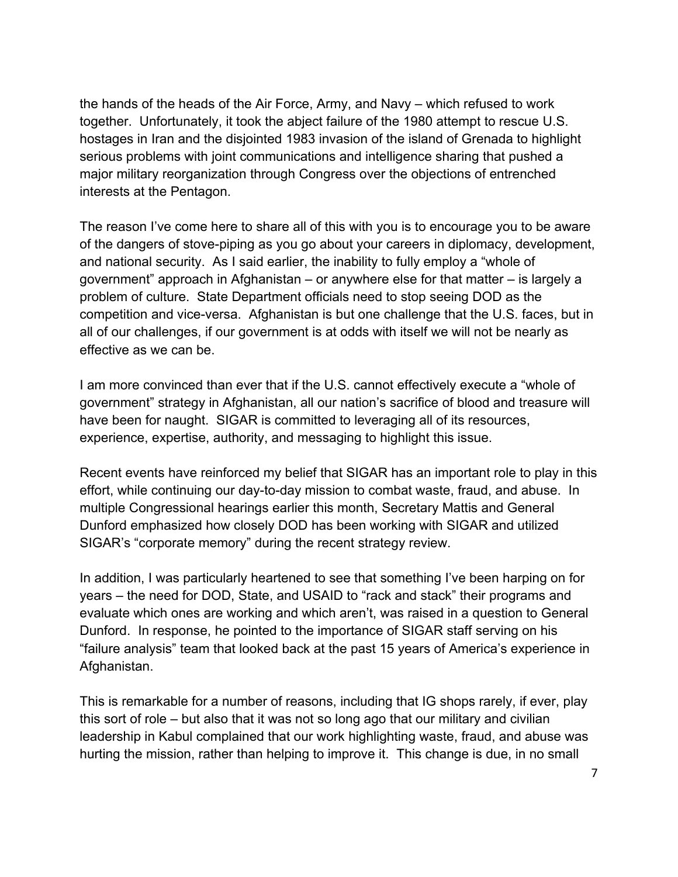the hands of the heads of the Air Force, Army, and Navy – which refused to work together. Unfortunately, it took the abject failure of the 1980 attempt to rescue U.S. hostages in Iran and the disjointed 1983 invasion of the island of Grenada to highlight serious problems with joint communications and intelligence sharing that pushed a major military reorganization through Congress over the objections of entrenched interests at the Pentagon.

The reason I've come here to share all of this with you is to encourage you to be aware of the dangers of stove-piping as you go about your careers in diplomacy, development, and national security. As I said earlier, the inability to fully employ a "whole of government" approach in Afghanistan – or anywhere else for that matter – is largely a problem of culture. State Department officials need to stop seeing DOD as the competition and vice-versa. Afghanistan is but one challenge that the U.S. faces, but in all of our challenges, if our government is at odds with itself we will not be nearly as effective as we can be.

I am more convinced than ever that if the U.S. cannot effectively execute a "whole of government" strategy in Afghanistan, all our nation's sacrifice of blood and treasure will have been for naught. SIGAR is committed to leveraging all of its resources, experience, expertise, authority, and messaging to highlight this issue.

Recent events have reinforced my belief that SIGAR has an important role to play in this effort, while continuing our day-to-day mission to combat waste, fraud, and abuse. In multiple Congressional hearings earlier this month, Secretary Mattis and General Dunford emphasized how closely DOD has been working with SIGAR and utilized SIGAR's "corporate memory" during the recent strategy review.

In addition, I was particularly heartened to see that something I've been harping on for years – the need for DOD, State, and USAID to "rack and stack" their programs and evaluate which ones are working and which aren't, was raised in a question to General Dunford. In response, he pointed to the importance of SIGAR staff serving on his "failure analysis" team that looked back at the past 15 years of America's experience in Afghanistan.

This is remarkable for a number of reasons, including that IG shops rarely, if ever, play this sort of role – but also that it was not so long ago that our military and civilian leadership in Kabul complained that our work highlighting waste, fraud, and abuse was hurting the mission, rather than helping to improve it. This change is due, in no small